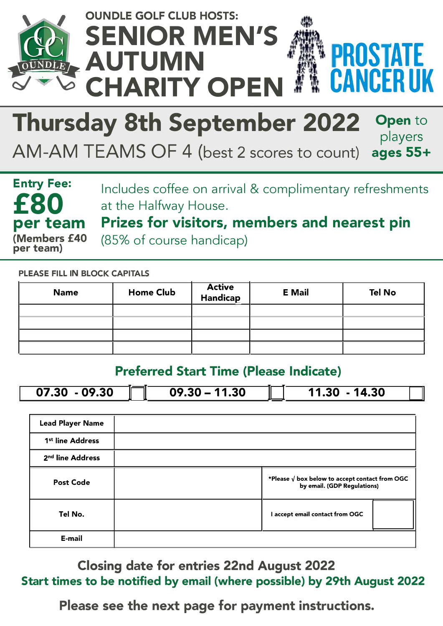

## **Thursday 8th September 2022 Open to**  players

AM-AM TEAMS OF 4 (best 2 scores to count)

**Entry Fee: £80 per team {Members £40 per team)** 

Includes coffee on arrival & complimentary refreshments at the Halfway House.

**ages 55+** 

Prizes for visitors, members and nearest pin (85% of course handicap)

**PLEASE FILL IN BLOCK CAPITALS** 

| <b>Name</b> | <b>Home Club</b> | Active<br>Handicap | <b>E</b> Mail | <b>Tel No</b> |
|-------------|------------------|--------------------|---------------|---------------|
|             |                  |                    |               |               |
|             |                  |                    |               |               |
|             |                  |                    |               |               |
|             |                  |                    |               |               |

## **Preferred Start Time (Please Indicate)**

| $-09.30$<br>07.30 | 11.30<br>$09.30 -$ | 14.30<br>.30<br>11 |
|-------------------|--------------------|--------------------|

| <b>Lead Player Name</b>      |                                                                                        |  |
|------------------------------|----------------------------------------------------------------------------------------|--|
| 1 <sup>st</sup> line Address |                                                                                        |  |
| 2 <sup>nd</sup> line Address |                                                                                        |  |
| <b>Post Code</b>             | *Please $\sqrt{ }$ box below to accept contact from OGC<br>by email. (GDP Regulations) |  |
| Tel No.                      | I accept email contact from OGC                                                        |  |
| E-mail                       |                                                                                        |  |

**Closing date for entries 22nd August 2022 Start times to be notified by email (where possible) by 29th August 2022** 

**Please see the next page for payment instructions.**